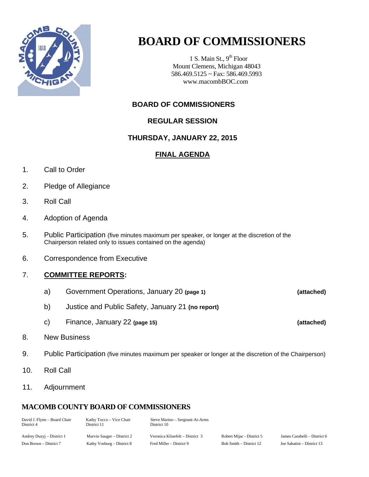

# **BOARD OF COMMISSIONERS**

1 S. Main St.,  $9<sup>th</sup>$  Floor Mount Clemens, Michigan 48043 586.469.5125 ~ Fax: 586.469.5993 www.macombBOC.com

# **BOARD OF COMMISSIONERS**

# **REGULAR SESSION**

# **THURSDAY, JANUARY 22, 2015**

# **FINAL AGENDA**

- 1. Call to Order
- 2. Pledge of Allegiance
- 3. Roll Call
- 4. Adoption of Agenda
- 5. Public Participation (five minutes maximum per speaker, or longer at the discretion of the Chairperson related only to issues contained on the agenda)
- 6. Correspondence from Executive

# 7. **COMMITTEE REPORTS:**

- a) Government Operations, January 20 **(page 1) (attached)**
- b) Justice and Public Safety, January 21 **(no report)**
- c) Finance, January 22 **(page 15) (attached)**
- 8. New Business
- 9. Public Participation (five minutes maximum per speaker or longer at the discretion of the Chairperson)
- 10. Roll Call
- 11. Adjournment

# **MACOMB COUNTY BOARD OF COMMISSIONERS**

| David J. Flynn - Board Chair<br>District 4 | Kathy Tocco – Vice Chair<br>District 11 | Steve Marino – Sergeant-At-Arms<br>District 10 |                         |
|--------------------------------------------|-----------------------------------------|------------------------------------------------|-------------------------|
| Andrey Duzyj – District 1                  | Marvin Sauger – District 2              | Veronica Klinefelt – District 3                | Robert Mijac - District |
| Don Brown – District 7                     | Kathy Vosburg – District 8              | Fred Miller – District 9                       | Bob Smith – District 12 |

5 James Carabelli – District 6 Joe Sabatini – District 13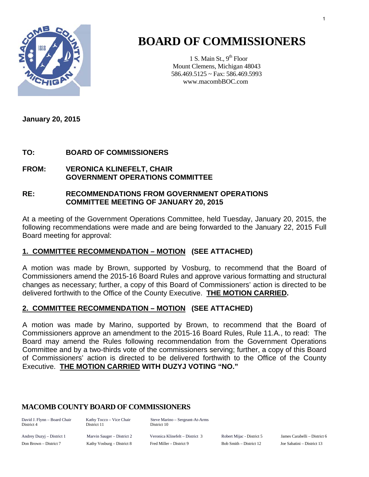

# **BOARD OF COMMISSIONERS**

1 S. Main St.,  $9<sup>th</sup>$  Floor Mount Clemens, Michigan 48043 586.469.5125 ~ Fax: 586.469.5993 www.macombBOC.com

**January 20, 2015** 

# **TO: BOARD OF COMMISSIONERS**

### **FROM: VERONICA KLINEFELT, CHAIR GOVERNMENT OPERATIONS COMMITTEE**

### **RE: RECOMMENDATIONS FROM GOVERNMENT OPERATIONS COMMITTEE MEETING OF JANUARY 20, 2015**

At a meeting of the Government Operations Committee, held Tuesday, January 20, 2015, the following recommendations were made and are being forwarded to the January 22, 2015 Full Board meeting for approval:

# **1. COMMITTEE RECOMMENDATION – MOTION (SEE ATTACHED)**

A motion was made by Brown, supported by Vosburg, to recommend that the Board of Commissioners amend the 2015-16 Board Rules and approve various formatting and structural changes as necessary; further, a copy of this Board of Commissioners' action is directed to be delivered forthwith to the Office of the County Executive. **THE MOTION CARRIED.** 

# **2. COMMITTEE RECOMMENDATION – MOTION (SEE ATTACHED)**

A motion was made by Marino, supported by Brown, to recommend that the Board of Commissioners approve an amendment to the 2015-16 Board Rules, Rule 11.A., to read: The Board may amend the Rules following recommendation from the Government Operations Committee and by a two-thirds vote of the commissioners serving; further, a copy of this Board of Commissioners' action is directed to be delivered forthwith to the Office of the County Executive. **THE MOTION CARRIED WITH DUZYJ VOTING "NO."**

### **MACOMB COUNTY BOARD OF COMMISSIONERS**

District 4 District 11 District 10

David J. Flynn – Board Chair Kathy Tocco – Vice Chair Steve Marino – Sergeant-At-Arms

Andrey Duzyj – District 1 Marvin Sauger – District 2 Veronica Klinefelt – District 3 Robert Mijac - District 5 James Carabelli – District 6 Don Brown – District 7 Kathy Vosburg – District 8 Fred Miller – District 9 Bob Smith – District 12 Joe Sabatini – District 13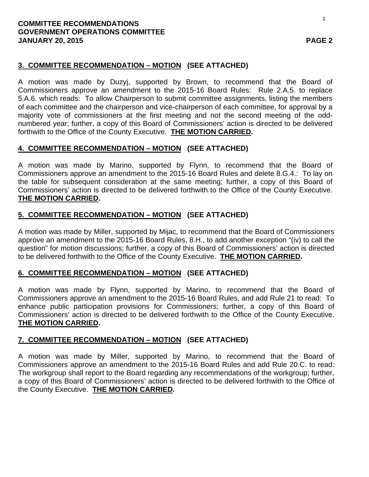### **COMMITTEE RECOMMENDATIONS GOVERNMENT OPERATIONS COMMITTEE JANUARY 20, 2015 PAGE 2**

# **3. COMMITTEE RECOMMENDATION – MOTION (SEE ATTACHED)**

A motion was made by Duzyj, supported by Brown, to recommend that the Board of Commissioners approve an amendment to the 2015-16 Board Rules: Rule 2.A.5. to replace 5.A.6. which reads: To allow Chairperson to submit committee assignments, listing the members of each committee and the chairperson and vice-chairperson of each committee, for approval by a majority vote of commissioners at the first meeting and not the second meeting of the oddnumbered year; further, a copy of this Board of Commissioners' action is directed to be delivered forthwith to the Office of the County Executive. **THE MOTION CARRIED.**

# **4. COMMITTEE RECOMMENDATION – MOTION (SEE ATTACHED)**

A motion was made by Marino, supported by Flynn, to recommend that the Board of Commissioners approve an amendment to the 2015-16 Board Rules and delete 8.G.4.: To lay on the table for subsequent consideration at the same meeting; further, a copy of this Board of Commissioners' action is directed to be delivered forthwith to the Office of the County Executive. **THE MOTION CARRIED.**

# **5. COMMITTEE RECOMMENDATION – MOTION (SEE ATTACHED)**

A motion was made by Miller, supported by Mijac, to recommend that the Board of Commissioners approve an amendment to the 2015-16 Board Rules, 8.H., to add another exception "(iv) to call the question" for motion discussions; further, a copy of this Board of Commissioners' action is directed to be delivered forthwith to the Office of the County Executive. **THE MOTION CARRIED.**

# **6. COMMITTEE RECOMMENDATION – MOTION (SEE ATTACHED)**

A motion was made by Flynn, supported by Marino, to recommend that the Board of Commissioners approve an amendment to the 2015-16 Board Rules, and add Rule 21 to read: To enhance public participation provisions for Commissioners; further, a copy of this Board of Commissioners' action is directed to be delivered forthwith to the Office of the County Executive. **THE MOTION CARRIED.**

# **7. COMMITTEE RECOMMENDATION – MOTION (SEE ATTACHED)**

A motion was made by Miller, supported by Marino, to recommend that the Board of Commissioners approve an amendment to the 2015-16 Board Rules and add Rule 20.C. to read: The workgroup shall report to the Board regarding any recommendations of the workgroup; further, a copy of this Board of Commissioners' action is directed to be delivered forthwith to the Office of the County Executive. **THE MOTION CARRIED.**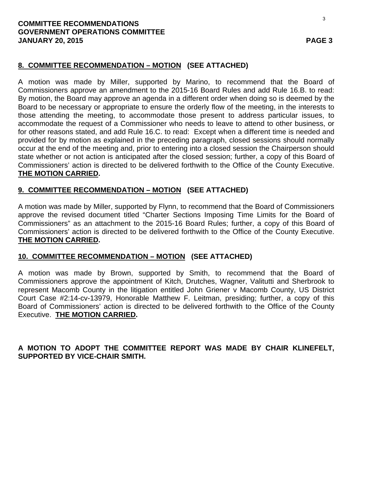### **COMMITTEE RECOMMENDATIONS GOVERNMENT OPERATIONS COMMITTEE JANUARY 20, 2015 PAGE 3**

# **8. COMMITTEE RECOMMENDATION – MOTION (SEE ATTACHED)**

A motion was made by Miller, supported by Marino, to recommend that the Board of Commissioners approve an amendment to the 2015-16 Board Rules and add Rule 16.B. to read: By motion, the Board may approve an agenda in a different order when doing so is deemed by the Board to be necessary or appropriate to ensure the orderly flow of the meeting, in the interests to those attending the meeting, to accommodate those present to address particular issues, to accommodate the request of a Commissioner who needs to leave to attend to other business, or for other reasons stated, and add Rule 16.C. to read: Except when a different time is needed and provided for by motion as explained in the preceding paragraph, closed sessions should normally occur at the end of the meeting and, prior to entering into a closed session the Chairperson should state whether or not action is anticipated after the closed session; further, a copy of this Board of Commissioners' action is directed to be delivered forthwith to the Office of the County Executive. **THE MOTION CARRIED.**

# **9. COMMITTEE RECOMMENDATION – MOTION (SEE ATTACHED)**

A motion was made by Miller, supported by Flynn, to recommend that the Board of Commissioners approve the revised document titled "Charter Sections Imposing Time Limits for the Board of Commissioners" as an attachment to the 2015-16 Board Rules; further, a copy of this Board of Commissioners' action is directed to be delivered forthwith to the Office of the County Executive. **THE MOTION CARRIED.**

# **10. COMMITTEE RECOMMENDATION – MOTION (SEE ATTACHED)**

A motion was made by Brown, supported by Smith, to recommend that the Board of Commissioners approve the appointment of Kitch, Drutches, Wagner, Valitutti and Sherbrook to represent Macomb County in the litigation entitled John Griener v Macomb County, US District Court Case #2:14-cv-13979, Honorable Matthew F. Leitman, presiding; further, a copy of this Board of Commissioners' action is directed to be delivered forthwith to the Office of the County Executive. **THE MOTION CARRIED.**

**A MOTION TO ADOPT THE COMMITTEE REPORT WAS MADE BY CHAIR KLINEFELT, SUPPORTED BY VICE-CHAIR SMITH.**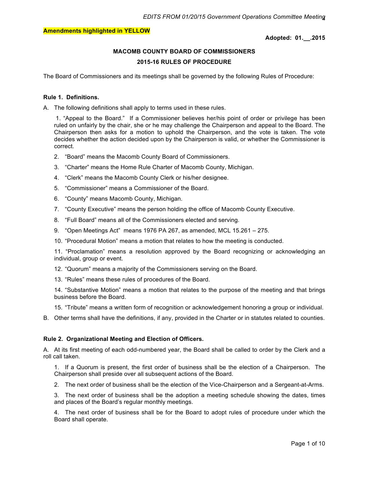#### **Adopted: 01.\_\_.2015**

## **MACOMB COUNTY BOARD OF COMMISSIONERS 2015-16 RULES OF PROCEDURE**

The Board of Commissioners and its meetings shall be governed by the following Rules of Procedure:

#### **Rule 1. Definitions.**

A. The following definitions shall apply to terms used in these rules.

1. "Appeal to the Board." If a Commissioner believes her/his point of order or privilege has been ruled on unfairly by the chair, she or he may challenge the Chairperson and appeal to the Board. The Chairperson then asks for a motion to uphold the Chairperson, and the vote is taken. The vote decides whether the action decided upon by the Chairperson is valid, or whether the Commissioner is correct.

- 2. "Board" means the Macomb County Board of Commissioners.
- 3. "Charter" means the Home Rule Charter of Macomb County, Michigan.
- 4. "Clerk" means the Macomb County Clerk or his/her designee.
- 5. "Commissioner" means a Commissioner of the Board.
- 6. "County" means Macomb County, Michigan.
- 7. "County Executive" means the person holding the office of Macomb County Executive.
- 8. "Full Board" means all of the Commissioners elected and serving.
- 9. "Open Meetings Act" means 1976 PA 267, as amended, MCL 15.261 275.
- 10. "Procedural Motion" means a motion that relates to how the meeting is conducted.

11. "Proclamation" means a resolution approved by the Board recognizing or acknowledging an individual, group or event.

- 12. "Quorum" means a majority of the Commissioners serving on the Board.
- 13. "Rules" means these rules of procedures of the Board.

14. "Substantive Motion" means a motion that relates to the purpose of the meeting and that brings business before the Board.

- 15. "Tribute" means a written form of recognition or acknowledgement honoring a group or individual.
- B. Other terms shall have the definitions, if any, provided in the Charter or in statutes related to counties.

#### **Rule 2. Organizational Meeting and Election of Officers.**

A. At its first meeting of each odd-numbered year, the Board shall be called to order by the Clerk and a roll call taken.

1. If a Quorum is present, the first order of business shall be the election of a Chairperson. The Chairperson shall preside over all subsequent actions of the Board.

2. The next order of business shall be the election of the Vice-Chairperson and a Sergeant-at-Arms.

3. The next order of business shall be the adoption a meeting schedule showing the dates, times and places of the Board's regular monthly meetings.

4. The next order of business shall be for the Board to adopt rules of procedure under which the Board shall operate.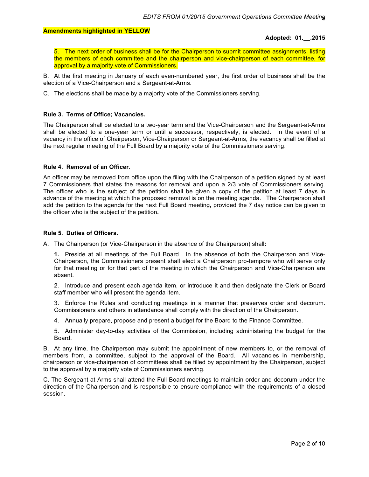#### **Adopted: 01.\_\_.2015**

5. The next order of business shall be for the Chairperson to submit committee assignments, listing the members of each committee and the chairperson and vice-chairperson of each committee, for approval by a majority vote of Commissioners.

B. At the first meeting in January of each even-numbered year, the first order of business shall be the election of a Vice-Chairperson and a Sergeant-at-Arms.

C. The elections shall be made by a majority vote of the Commissioners serving.

#### **Rule 3. Terms of Office; Vacancies.**

The Chairperson shall be elected to a two-year term and the Vice-Chairperson and the Sergeant-at-Arms shall be elected to a one-year term or until a successor, respectively, is elected. In the event of a vacancy in the office of Chairperson, Vice-Chairperson or Sergeant-at-Arms, the vacancy shall be filled at the next regular meeting of the Full Board by a majority vote of the Commissioners serving.

#### **Rule 4. Removal of an Officer**.

An officer may be removed from office upon the filing with the Chairperson of a petition signed by at least 7 Commissioners that states the reasons for removal and upon a 2/3 vote of Commissioners serving. The officer who is the subject of the petition shall be given a copy of the petition at least 7 days in advance of the meeting at which the proposed removal is on the meeting agenda. The Chairperson shall add the petition to the agenda for the next Full Board meeting**,** provided the 7 day notice can be given to the officer who is the subject of the petition**.** 

#### **Rule 5. Duties of Officers.**

A. The Chairperson (or Vice-Chairperson in the absence of the Chairperson) shall**:**

**1.** Preside at all meetings of the Full Board. In the absence of both the Chairperson and Vice-Chairperson, the Commissioners present shall elect a Chairperson pro-tempore who will serve only for that meeting or for that part of the meeting in which the Chairperson and Vice-Chairperson are absent.

2. Introduce and present each agenda item, or introduce it and then designate the Clerk or Board staff member who will present the agenda item.

3. Enforce the Rules and conducting meetings in a manner that preserves order and decorum. Commissioners and others in attendance shall comply with the direction of the Chairperson.

4. Annually prepare, propose and present a budget for the Board to the Finance Committee.

5. Administer day-to-day activities of the Commission, including administering the budget for the Board.

B. At any time, the Chairperson may submit the appointment of new members to, or the removal of members from, a committee, subject to the approval of the Board. All vacancies in membership, chairperson or vice-chairperson of committees shall be filled by appointment by the Chairperson, subject to the approval by a majority vote of Commissioners serving.

C. The Sergeant-at-Arms shall attend the Full Board meetings to maintain order and decorum under the direction of the Chairperson and is responsible to ensure compliance with the requirements of a closed session.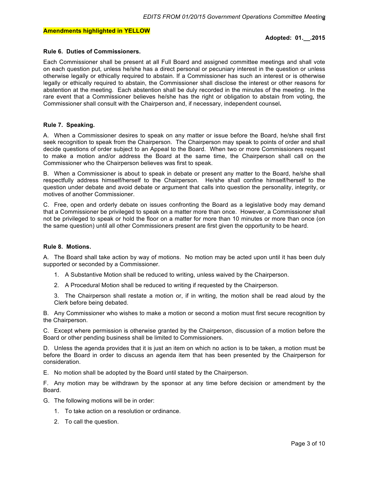#### **Adopted: 01.\_\_.2015**

#### **Rule 6. Duties of Commissioners.**

Each Commissioner shall be present at all Full Board and assigned committee meetings and shall vote on each question put, unless he/she has a direct personal or pecuniary interest in the question or unless otherwise legally or ethically required to abstain. If a Commissioner has such an interest or is otherwise legally or ethically required to abstain, the Commissioner shall disclose the interest or other reasons for abstention at the meeting. Each abstention shall be duly recorded in the minutes of the meeting. In the rare event that a Commissioner believes he/she has the right or obligation to abstain from voting, the Commissioner shall consult with the Chairperson and, if necessary, independent counsel**.**

#### **Rule 7. Speaking.**

A. When a Commissioner desires to speak on any matter or issue before the Board, he/she shall first seek recognition to speak from the Chairperson. The Chairperson may speak to points of order and shall decide questions of order subject to an Appeal to the Board. When two or more Commissioners request to make a motion and/or address the Board at the same time, the Chairperson shall call on the Commissioner who the Chairperson believes was first to speak.

B. When a Commissioner is about to speak in debate or present any matter to the Board, he/she shall respectfully address himself/herself to the Chairperson. He/she shall confine himself/herself to the question under debate and avoid debate or argument that calls into question the personality, integrity, or motives of another Commissioner.

C. Free, open and orderly debate on issues confronting the Board as a legislative body may demand that a Commissioner be privileged to speak on a matter more than once. However, a Commissioner shall not be privileged to speak or hold the floor on a matter for more than 10 minutes or more than once (on the same question) until all other Commissioners present are first given the opportunity to be heard.

#### **Rule 8. Motions.**

A. The Board shall take action by way of motions. No motion may be acted upon until it has been duly supported or seconded by a Commissioner.

- 1. A Substantive Motion shall be reduced to writing, unless waived by the Chairperson.
- 2. A Procedural Motion shall be reduced to writing if requested by the Chairperson.

3. The Chairperson shall restate a motion or, if in writing, the motion shall be read aloud by the Clerk before being debated.

B. Any Commissioner who wishes to make a motion or second a motion must first secure recognition by the Chairperson.

C. Except where permission is otherwise granted by the Chairperson, discussion of a motion before the Board or other pending business shall be limited to Commissioners.

D. Unless the agenda provides that it is just an item on which no action is to be taken, a motion must be before the Board in order to discuss an agenda item that has been presented by the Chairperson for consideration.

E. No motion shall be adopted by the Board until stated by the Chairperson.

F. Any motion may be withdrawn by the sponsor at any time before decision or amendment by the Board.

- G. The following motions will be in order:
	- 1. To take action on a resolution or ordinance.
	- 2. To call the question.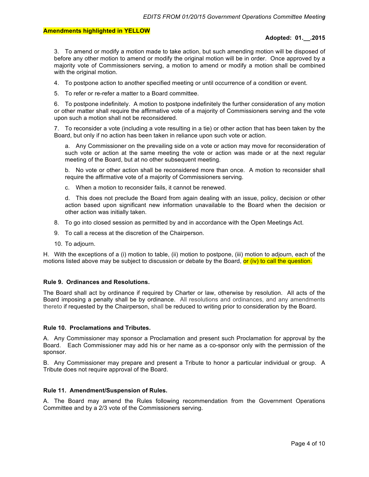#### **Adopted: 01.\_\_.2015**

3. To amend or modify a motion made to take action, but such amending motion will be disposed of before any other motion to amend or modify the original motion will be in order. Once approved by a majority vote of Commissioners serving, a motion to amend or modify a motion shall be combined with the original motion.

4. To postpone action to another specified meeting or until occurrence of a condition or event.

5. To refer or re-refer a matter to a Board committee.

6. To postpone indefinitely. A motion to postpone indefinitely the further consideration of any motion or other matter shall require the affirmative vote of a majority of Commissioners serving and the vote upon such a motion shall not be reconsidered.

7. To reconsider a vote (including a vote resulting in a tie) or other action that has been taken by the Board, but only if no action has been taken in reliance upon such vote or action.

a. Any Commissioner on the prevailing side on a vote or action may move for reconsideration of such vote or action at the same meeting the vote or action was made or at the next regular meeting of the Board, but at no other subsequent meeting.

b. No vote or other action shall be reconsidered more than once. A motion to reconsider shall require the affirmative vote of a majority of Commissioners serving.

c. When a motion to reconsider fails, it cannot be renewed.

d. This does not preclude the Board from again dealing with an issue, policy, decision or other action based upon significant new information unavailable to the Board when the decision or other action was initially taken.

- 8. To go into closed session as permitted by and in accordance with the Open Meetings Act.
- 9. To call a recess at the discretion of the Chairperson.
- 10. To adjourn.

H. With the exceptions of a (i) motion to table, (ii) motion to postpone, (iii) motion to adjourn, each of the motions listed above may be subject to discussion or debate by the Board, or (iv) to call the question.

#### **Rule 9. Ordinances and Resolutions.**

The Board shall act by ordinance if required by Charter or law, otherwise by resolution. All acts of the Board imposing a penalty shall be by ordinance. All resolutions and ordinances, and any amendments thereto if requested by the Chairperson, shall be reduced to writing prior to consideration by the Board.

#### **Rule 10. Proclamations and Tributes.**

A. Any Commissioner may sponsor a Proclamation and present such Proclamation for approval by the Board. Each Commissioner may add his or her name as a co-sponsor only with the permission of the sponsor.

B. Any Commissioner may prepare and present a Tribute to honor a particular individual or group. A Tribute does not require approval of the Board.

#### **Rule 11. Amendment/Suspension of Rules.**

A. The Board may amend the Rules following recommendation from the Government Operations Committee and by a 2/3 vote of the Commissioners serving.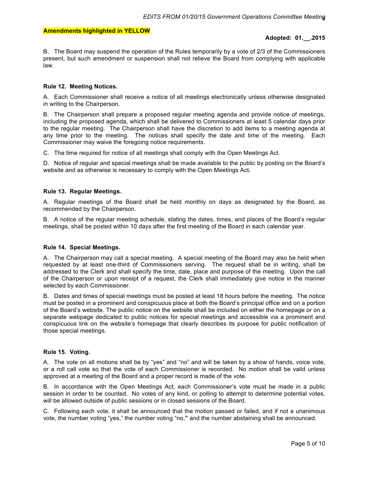#### **Adopted: 01.\_\_.2015**

B. The Board may suspend the operation of the Rules temporarily by a vote of 2/3 of the Commissioners present, but such amendment or suspension shall not relieve the Board from complying with applicable law.

#### **Rule 12. Meeting Notices.**

A. Each Commissioner shall receive a notice of all meetings electronically unless otherwise designated in writing to the Chairperson.

B. The Chairperson shall prepare a proposed regular meeting agenda and provide notice of meetings, including the proposed agenda, which shall be delivered to Commissioners at least 5 calendar days prior to the regular meeting. The Chairperson shall have the discretion to add items to a meeting agenda at any time prior to the meeting. The notices shall specify the date and time of the meeting. Each Commissioner may waive the foregoing notice requirements.

C. The time required for notice of all meetings shall comply with the Open Meetings Act.

D. Notice of regular and special meetings shall be made available to the public by posting on the Board's website and as otherwise is necessary to comply with the Open Meetings Act**.** 

#### **Rule 13. Regular Meetings.**

A. Regular meetings of the Board shall be held monthly on days as designated by the Board, as recommended by the Chairperson.

B. A notice of the regular meeting schedule, stating the dates, times, and places of the Board's regular meetings, shall be posted within 10 days after the first meeting of the Board in each calendar year.

#### **Rule 14. Special Meetings.**

A. The Chairperson may call a special meeting. A special meeting of the Board may also be held when requested by at least one-third of Commissioners serving. The request shall be in writing, shall be addressed to the Clerk and shall specify the time, date, place and purpose of the meeting. Upon the call of the Chairperson or upon receipt of a request, the Clerk shall immediately give notice in the manner selected by each Commissioner.

B. Dates and times of special meetings must be posted at least 18 hours before the meeting. The notice must be posted in a prominent and conspicuous place at both the Board's principal office and on a portion of the Board's website. The public notice on the website shall be included on either the homepage or on a separate webpage dedicated to public notices for special meetings and accessible via a prominent and conspicuous link on the website's homepage that clearly describes its purpose for public notification of those special meetings.

#### **Rule 15. Voting.**

A. The vote on all motions shall be by "yes" and "no" and will be taken by a show of hands, voice vote, or a roll call vote so that the vote of each Commissioner is recorded. No motion shall be valid unless approved at a meeting of the Board and a proper record is made of the vote.

B. In accordance with the Open Meetings Act, each Commissioner's vote must be made in a public session in order to be counted. No votes of any kind, or polling to attempt to determine potential votes, will be allowed outside of public sessions or in closed sessions of the Board.

C. Following each vote, it shall be announced that the motion passed or failed, and if not a unanimous vote, the number voting "yes," the number voting "no,**"** and the number abstaining shall be announced.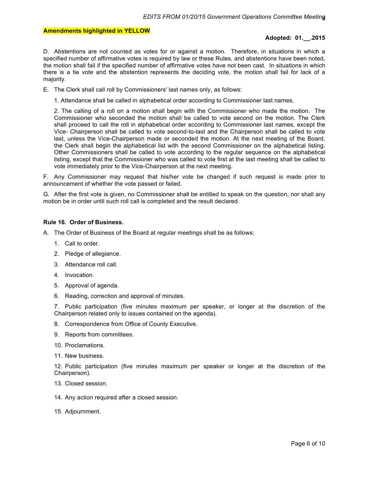#### **Adopted: 01.\_\_.2015**

D. Abstentions are not counted as votes for or against a motion. Therefore, in situations in which a specified number of affirmative votes is required by law or these Rules, and abstentions have been noted, the motion shall fail if the specified number of affirmative votes have not been cast. In situations in which there is a tie vote and the abstention represents the deciding vote, the motion shall fail for lack of a majority.

- E. The Clerk shall call roll by Commissioners' last names only, as follows:
	- 1. Attendance shall be called in alphabetical order according to Commissioner last names.

2. The calling of a roll on a motion shall begin with the Commissioner who made the motion. The Commissioner who seconded the motion shall be called to vote second on the motion. The Clerk shall proceed to call the roll in alphabetical order according to Commissioner last names, except the Vice- Chairperson shall be called to vote second-to-last and the Chairperson shall be called to vote last, unless the Vice-Chairperson made or seconded the motion. At the next meeting of the Board, the Clerk shall begin the alphabetical list with the second Commissioner on the alphabetical listing. Other Commissioners shall be called to vote according to the regular sequence on the alphabetical listing, except that the Commissioner who was called to vote first at the last meeting shall be called to vote immediately prior to the Vice-Chairperson at the next meeting.

F. Any Commissioner may request that his/her vote be changed if such request is made prior to announcement of whether the vote passed or failed.

G. After the first vote is given, no Commissioner shall be entitled to speak on the question, nor shall any motion be in order until such roll call is completed and the result declared.

#### **Rule 16. Order of Business.**

- A. The Order of Business of the Board at regular meetings shall be as follows:
	- 1. Call to order.
	- 2. Pledge of allegiance.
	- 3. Attendance roll call.
	- 4. Invocation.
	- 5. Approval of agenda.
	- 6. Reading, correction and approval of minutes.

7. Public participation (five minutes maximum per speaker, or longer at the discretion of the Chairperson related only to issues contained on the agenda).

- 8. Correspondence from Office of County Executive.
- 9. Reports from committees.
- 10. Proclamations.
- 11. New business.

12. Public participation (five minutes maximum per speaker or longer at the discretion of the Chairperson).

- 13. Closed session.
- 14. Any action required after a closed session.
- 15. Adjournment.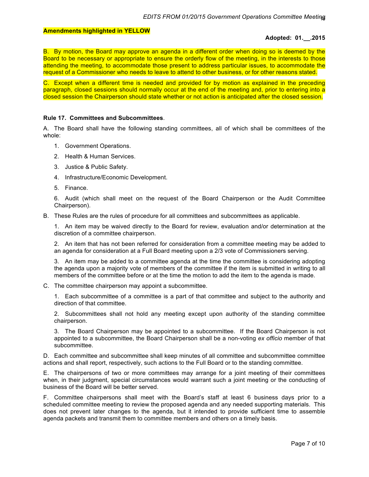#### **Adopted: 01.\_\_.2015**

B. By motion, the Board may approve an agenda in a different order when doing so is deemed by the Board to be necessary or appropriate to ensure the orderly flow of the meeting, in the interests to those attending the meeting, to accommodate those present to address particular issues, to accommodate the request of a Commissioner who needs to leave to attend to other business, or for other reasons stated.

C. Except when a different time is needed and provided for by motion as explained in the preceding paragraph, closed sessions should normally occur at the end of the meeting and, prior to entering into a closed session the Chairperson should state whether or not action is anticipated after the closed session.

#### **Rule 17. Committees and Subcommittees**.

A. The Board shall have the following standing committees, all of which shall be committees of the whole:

- 1. Government Operations.
- 2. Health & Human Services.
- 3. Justice & Public Safety.
- 4. Infrastructure/Economic Development.
- 5. Finance.

6. Audit (which shall meet on the request of the Board Chairperson or the Audit Committee Chairperson).

B. These Rules are the rules of procedure for all committees and subcommittees as applicable.

1. An item may be waived directly to the Board for review, evaluation and/or determination at the discretion of a committee chairperson.

2. An item that has not been referred for consideration from a committee meeting may be added to an agenda for consideration at a Full Board meeting upon a 2/3 vote of Commissioners serving.

3. An item may be added to a committee agenda at the time the committee is considering adopting the agenda upon a majority vote of members of the committee if the item is submitted in writing to all members of the committee before or at the time the motion to add the item to the agenda is made.

C. The committee chairperson may appoint a subcommittee.

1. Each subcommittee of a committee is a part of that committee and subject to the authority and direction of that committee.

2. Subcommittees shall not hold any meeting except upon authority of the standing committee chairperson.

3. The Board Chairperson may be appointed to a subcommittee. If the Board Chairperson is not appointed to a subcommittee, the Board Chairperson shall be a non-voting *ex officio* member of that subcommittee.

D. Each committee and subcommittee shall keep minutes of all committee and subcommittee committee actions and shall report, respectively, such actions to the Full Board or to the standing committee.

E. The chairpersons of two or more committees may arrange for a joint meeting of their committees when, in their judgment, special circumstances would warrant such a joint meeting or the conducting of business of the Board will be better served.

F. Committee chairpersons shall meet with the Board's staff at least 6 business days prior to a scheduled committee meeting to review the proposed agenda and any needed supporting materials. This does not prevent later changes to the agenda, but it intended to provide sufficient time to assemble agenda packets and transmit them to committee members and others on a timely basis.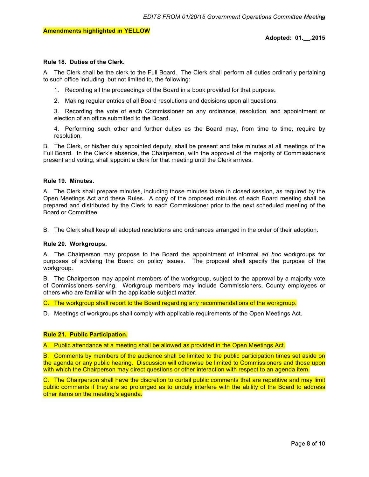#### **Rule 18. Duties of the Clerk.**

A. The Clerk shall be the clerk to the Full Board. The Clerk shall perform all duties ordinarily pertaining to such office including, but not limited to, the following:

- 1. Recording all the proceedings of the Board in a book provided for that purpose.
- 2. Making regular entries of all Board resolutions and decisions upon all questions.

3. Recording the vote of each Commissioner on any ordinance, resolution, and appointment or election of an office submitted to the Board.

4. Performing such other and further duties as the Board may, from time to time, require by resolution.

B. The Clerk, or his/her duly appointed deputy, shall be present and take minutes at all meetings of the Full Board. In the Clerk's absence, the Chairperson, with the approval of the majority of Commissioners present and voting, shall appoint a clerk for that meeting until the Clerk arrives.

#### **Rule 19. Minutes.**

A. The Clerk shall prepare minutes, including those minutes taken in closed session, as required by the Open Meetings Act and these Rules. A copy of the proposed minutes of each Board meeting shall be prepared and distributed by the Clerk to each Commissioner prior to the next scheduled meeting of the Board or Committee.

B. The Clerk shall keep all adopted resolutions and ordinances arranged in the order of their adoption.

#### **Rule 20. Workgroups.**

A. The Chairperson may propose to the Board the appointment of informal *ad hoc* workgroups for purposes of advising the Board on policy issues. The proposal shall specify the purpose of the workgroup.

B. The Chairperson may appoint members of the workgroup, subject to the approval by a majority vote of Commissioners serving. Workgroup members may include Commissioners, County employees or others who are familiar with the applicable subject matter.

C. The workgroup shall report to the Board regarding any recommendations of the workgroup.

D. Meetings of workgroups shall comply with applicable requirements of the Open Meetings Act.

#### **Rule 21. Public Participation.**

A. Public attendance at a meeting shall be allowed as provided in the Open Meetings Act.

B. Comments by members of the audience shall be limited to the public participation times set aside on the agenda or any public hearing. Discussion will otherwise be limited to Commissioners and those upon with which the Chairperson may direct questions or other interaction with respect to an agenda item.

C. The Chairperson shall have the discretion to curtail public comments that are repetitive and may limit public comments if they are so prolonged as to unduly interfere with the ability of the Board to address other items on the meeting's agenda.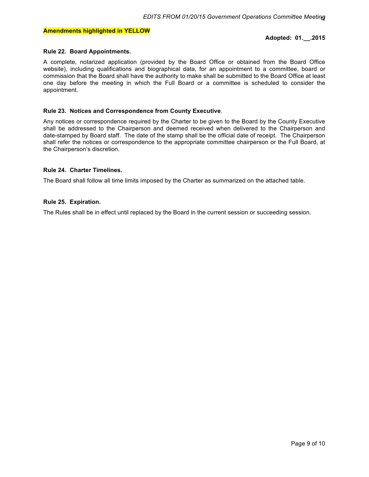#### **Adopted: 01.\_\_.2015**

#### **Rule 22. Board Appointments.**

A complete, notarized application (provided by the Board Office or obtained from the Board Office website), including qualifications and biographical data, for an appointment to a committee, board or commission that the Board shall have the authority to make shall be submitted to the Board Office at least one day before the meeting in which the Full Board or a committee is scheduled to consider the appointment.

#### **Rule 23. Notices and Correspondence from County Executive**.

Any notices or correspondence required by the Charter to be given to the Board by the County Executive shall be addressed to the Chairperson and deemed received when delivered to the Chairperson and date-stamped by Board staff. The date of the stamp shall be the official date of receipt. The Chairperson shall refer the notices or correspondence to the appropriate committee chairperson or the Full Board, at the Chairperson's discretion.

#### **Rule 24. Charter Timelines.**

The Board shall follow all time limits imposed by the Charter as summarized on the attached table.

#### **Rule 25. Expiration.**

The Rules shall be in effect until replaced by the Board in the current session or succeeding session.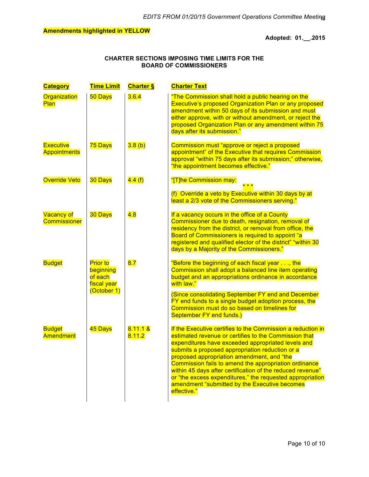#### **Adopted: 01.\_\_.2015**

#### **CHARTER SECTIONS IMPOSING TIME LIMITS FOR THE BOARD OF COMMISSIONERS**

| <b>Category</b>                          | <b>Time Limit</b>                                                     | <b>Charter §</b>      | <b>Charter Text</b>                                                                                                                                                                                                                                                                                                                                                                                                                                                                                                             |
|------------------------------------------|-----------------------------------------------------------------------|-----------------------|---------------------------------------------------------------------------------------------------------------------------------------------------------------------------------------------------------------------------------------------------------------------------------------------------------------------------------------------------------------------------------------------------------------------------------------------------------------------------------------------------------------------------------|
| Organization<br><b>Plan</b>              | 50 Days                                                               | 3.6.4                 | "The Commission shall hold a public hearing on the<br><b>Executive's proposed Organization Plan or any proposed</b><br>amendment within 50 days of its submission and must<br>either approve, with or without amendment, or reject the<br>proposed Organization Plan or any amendment within 75<br>days after its submission."                                                                                                                                                                                                  |
| <b>Executive</b><br><b>Appointments</b>  | 75 Days                                                               | 3.8(b)                | Commission must "approve or reject a proposed<br>appointment" of the Executive that requires Commission<br>approval "within 75 days after its submission;" otherwise,<br>"the appointment becomes effective."                                                                                                                                                                                                                                                                                                                   |
| Override Veto                            | 30 Days                                                               | 4.4(f)                | "[T]he Commission may:<br>* * *<br>(f) Override a veto by Executive within 30 days by at<br>least a 2/3 vote of the Commissioners serving."                                                                                                                                                                                                                                                                                                                                                                                     |
| <b>Vacancy of</b><br><b>Commissioner</b> | 30 Days                                                               | 4.8                   | If a vacancy occurs in the office of a County<br>Commissioner due to death, resignation, removal of<br>residency from the district, or removal from office, the<br>Board of Commissioners is required to appoint "a<br>registered and qualified elector of the district" "within 30<br>days by a Majority of the Commissioners."                                                                                                                                                                                                |
| <b>Budget</b>                            | <b>Prior to</b><br>beginning<br>of each<br>fiscal year<br>(October 1) | 8.7                   | "Before the beginning of each fiscal year, the<br>Commission shall adopt a balanced line item operating<br>budget and an appropriations ordinance in accordance<br>with law."                                                                                                                                                                                                                                                                                                                                                   |
|                                          |                                                                       |                       | (Since consolidating September FY end and December<br>FY end funds to a single budget adoption process, the<br>Commission must do so based on timelines for<br>September FY end funds.)                                                                                                                                                                                                                                                                                                                                         |
| <b>Budget</b><br><b>Amendment</b>        | 45 Days                                                               | $8.11.1 \&$<br>8.11.2 | If the Executive certifies to the Commission a reduction in<br>estimated revenue or certifies to the Commission that<br>expenditures have exceeded appropriated levels and<br>submits a proposed appropriation reduction or a<br>proposed appropriation amendment, and "the<br>Commission fails to amend the appropriation ordinance<br>within 45 days after certification of the reduced revenue"<br>or "the excess expenditures," the requested appropriation<br>amendment "submitted by the Executive becomes<br>effective." |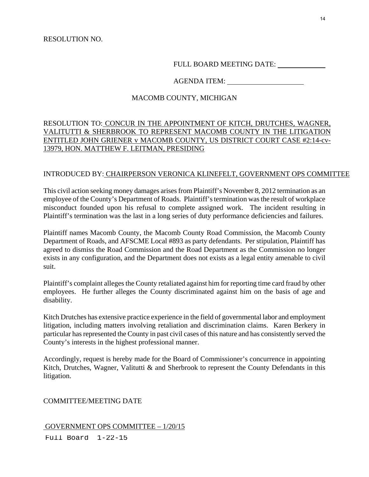FULL BOARD MEETING DATE:

### AGENDA ITEM:

### MACOMB COUNTY, MICHIGAN

### RESOLUTION TO: CONCUR IN THE APPOINTMENT OF KITCH, DRUTCHES, WAGNER, VALITUTTI & SHERBROOK TO REPRESENT MACOMB COUNTY IN THE LITIGATION ENTITLED JOHN GRIENER v MACOMB COUNTY, US DISTRICT COURT CASE #2:14-cv-13979, HON. MATTHEW F. LEITMAN, PRESIDING

#### INTRODUCED BY: CHAIRPERSON VERONICA KLINEFELT, GOVERNMENT OPS COMMITTEE

This civil action seeking money damages arises from Plaintiff's November 8, 2012 termination as an employee of the County's Department of Roads. Plaintiff's termination was the result of workplace misconduct founded upon his refusal to complete assigned work. The incident resulting in Plaintiff's termination was the last in a long series of duty performance deficiencies and failures.

Plaintiff names Macomb County, the Macomb County Road Commission, the Macomb County Department of Roads, and AFSCME Local #893 as party defendants. Per stipulation, Plaintiff has agreed to dismiss the Road Commission and the Road Department as the Commission no longer exists in any configuration, and the Department does not exists as a legal entity amenable to civil suit.

Plaintiff's complaint alleges the County retaliated against him for reporting time card fraud by other employees. He further alleges the County discriminated against him on the basis of age and disability.

Kitch Drutches has extensive practice experience in the field of governmental labor and employment litigation, including matters involving retaliation and discrimination claims. Karen Berkery in particular has represented the County in past civil cases of this nature and has consistently served the County's interests in the highest professional manner.

Accordingly, request is hereby made for the Board of Commissioner's concurrence in appointing Kitch, Drutches, Wagner, Valitutti & and Sherbrook to represent the County Defendants in this litigation.

#### COMMITTEE/MEETING DATE

#### GOVERNMENT OPS COMMITTEE – 1/20/15

Full Board 1-22-15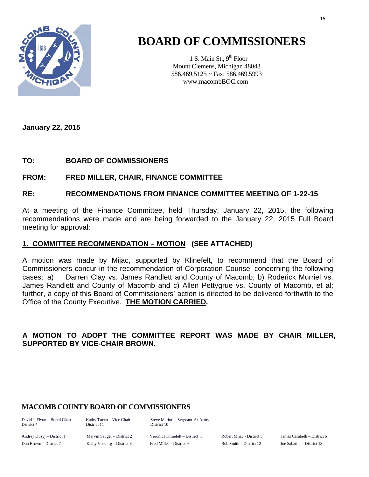

# **BOARD OF COMMISSIONERS**

1 S. Main St.,  $9<sup>th</sup>$  Floor Mount Clemens, Michigan 48043 586.469.5125 ~ Fax: 586.469.5993 www.macombBOC.com

**January 22, 2015** 

# **TO: BOARD OF COMMISSIONERS**

### **FROM: FRED MILLER, CHAIR, FINANCE COMMITTEE**

### **RE: RECOMMENDATIONS FROM FINANCE COMMITTEE MEETING OF 1-22-15**

At a meeting of the Finance Committee, held Thursday, January 22, 2015, the following recommendations were made and are being forwarded to the January 22, 2015 Full Board meeting for approval:

### **1. COMMITTEE RECOMMENDATION – MOTION (SEE ATTACHED)**

A motion was made by Mijac, supported by Klinefelt, to recommend that the Board of Commissioners concur in the recommendation of Corporation Counsel concerning the following cases: a) Darren Clay vs. James Randlett and County of Macomb; b) Roderick Murriel vs. James Randlett and County of Macomb and c) Allen Pettygrue vs. County of Macomb, et al; further, a copy of this Board of Commissioners' action is directed to be delivered forthwith to the Office of the County Executive. **THE MOTION CARRIED.**

# **A MOTION TO ADOPT THE COMMITTEE REPORT WAS MADE BY CHAIR MILLER, SUPPORTED BY VICE-CHAIR BROWN.**

# **MACOMB COUNTY BOARD OF COMMISSIONERS**

District 4 District 11 District 10

David J. Flynn – Board Chair Kathy Tocco – Vice Chair Steve Marino – Sergeant-At-Arms

Andrey Duzyj – District 1 Marvin Sauger – District 2 Veronica Klinefelt – District 3 Robert Mijac - District 5 James Carabelli – District 6 Don Brown – District 7 Kathy Vosburg – District 8 Fred Miller – District 9 Bob Smith – District 12 Joe Sabatini – District 13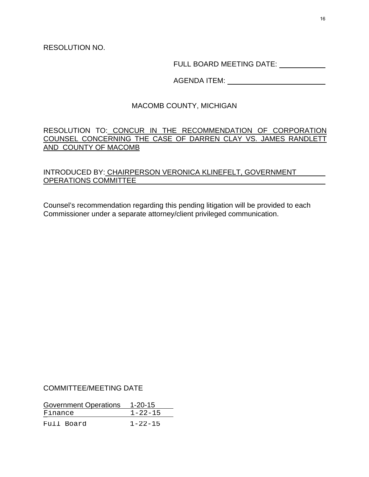RESOLUTION NO.

FULL BOARD MEETING DATE:

AGENDA ITEM:

# MACOMB COUNTY, MICHIGAN

## RESOLUTION TO: CONCUR IN THE RECOMMENDATION OF CORPORATION COUNSEL CONCERNING THE CASE OF DARREN CLAY VS. JAMES RANDLETT AND COUNTY OF MACOMB

# INTRODUCED BY: CHAIRPERSON VERONICA KLINEFELT, GOVERNMENT OPERATIONS COMMITTEE

Counsel's recommendation regarding this pending litigation will be provided to each Commissioner under a separate attorney/client privileged communication.

### COMMITTEE/MEETING DATE

| Government Operations |  | $1 - 20 - 15$ |  |
|-----------------------|--|---------------|--|
| Finance               |  | $1 - 22 - 15$ |  |
| Full Board            |  | $1 - 22 - 15$ |  |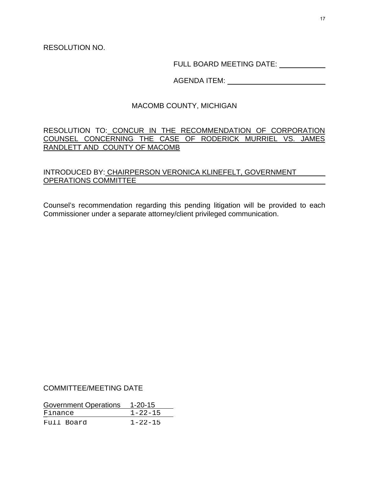RESOLUTION NO.

FULL BOARD MEETING DATE:

AGENDA ITEM:

# MACOMB COUNTY, MICHIGAN

# RESOLUTION TO: CONCUR IN THE RECOMMENDATION OF CORPORATION COUNSEL CONCERNING THE CASE OF RODERICK MURRIEL VS. JAMES RANDLETT AND COUNTY OF MACOMB

# INTRODUCED BY: CHAIRPERSON VERONICA KLINEFELT, GOVERNMENT OPERATIONS COMMITTEE

Counsel's recommendation regarding this pending litigation will be provided to each Commissioner under a separate attorney/client privileged communication.

### COMMITTEE/MEETING DATE

| Government Operations |            | $1 - 20 - 15$ |
|-----------------------|------------|---------------|
| Finance               |            | $1 - 22 - 15$ |
|                       | Full Board | $1 - 22 - 15$ |